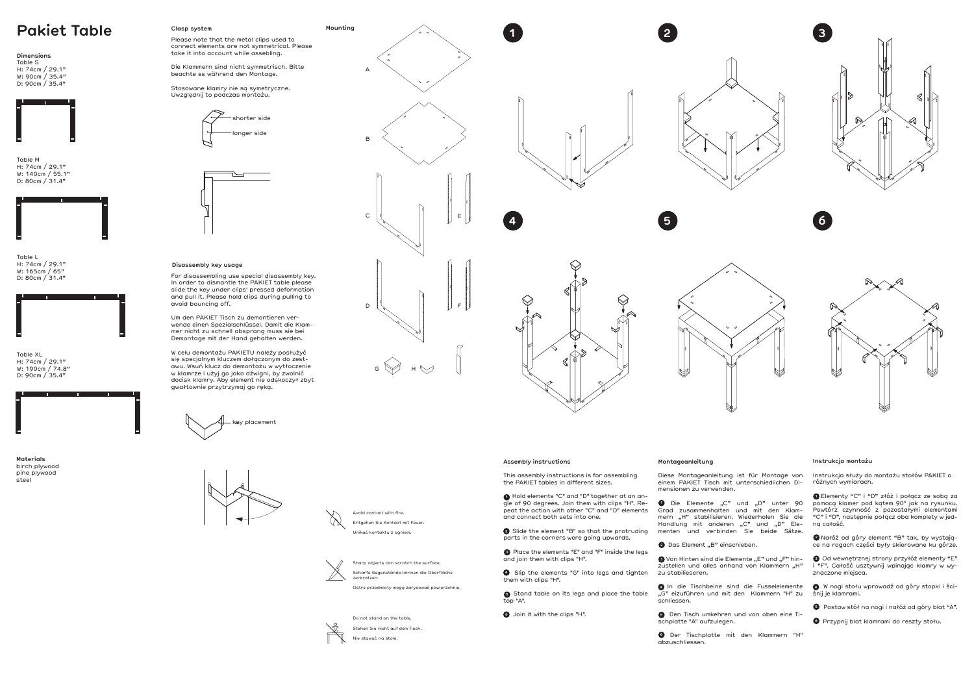Sharp objects can scratch the surface. Scharfe Gegenstände können die Oberfläche zerkratzen.

Ostre przedmioty mogą zarysować powierzchnię.



#### **Instrukcja montażu**

Instrukcja służy do montażu stołów PAKIET o różnych wymiarach.

 Elementy "C" i "D" złóż i połącz ze sobą za **1** pomocą klamer pod kątem 90° jak na rysunku. Powtórz czynność z pozostałymi elementami "C" i "D", następnie połącz oba komplety w jedną całość.

 Nałóż od góry element "B" tak, by wystają-**2** ce na rogach części były skierowane ku górze.

**1** Die Elemente "C" und "D" unter 90 Grad zusammenhalten und mit den Klam-

> Od wewnętrznej strony przyłóż elementy "E" **3** i "F". Całość usztywnij wpinając klamry w wyznaczone miejsca.

zu stabilieseren. **4** In die Tischbeine sind die Fusselelemente

 W nogi stołu wprowadź od góry stopki i ści-**4**  śnij je klamrami.

**5** Den Tisch umkehren und von oben eine Tischplatte "A" aufzulegen.

# **Montageanleitung**

Diese Montageanleitung ist für Montage von einem PAKIET Tisch mit unterschiedlichen Di-

mern "H" stabilisieren. Wiederholen Sie die Handlung mit anderen "C" und "D" Ele-

**3** Von Hinten sind die Elemente "E" und "F" hinzustellen und alles anhand von Klammern "H"

"G" eizuführen und mit den Klammern "H" zu

mensionen zu verwenden.

menten und verbinden Sie beide Sätze.

**4** Slip the elements "G" into legs and tighten them with clips "H".

**6** Stand table on its legs and place the table top "A".



schliessen.

**2** Das Element "B" einschieben.

Przypnij blat klamrami do reszty stołu. **6**

 Der Tischplatte mit den Klammern "H" **6** abzuschliessen.



**Materials** birch plywood pine plywood steel

# **Pakiet Table Clasp system Mounting Mounting**

### **Dimensions** Table S H: 74cm / 29.1"

W: 90cm / 35.4" D: 90cm / 35.4"



Table M H: 74cm / 29.1" W: 140cm / 55.1" D: 80cm / 31.4"



Table L H: 74cm / 29.1" W: 165cm / 65" D: 80cm / 31.4"







Table XL H: 74cm / 29.1" W: 190cm / 74.8" D: 90cm / 35.4"

Do not stand on the table. Stehen Sie nicht auf dem Tisch. Nie stawać na stole.

# **Clasp system**









# **Disassembly key usage**













Avoid contact with fire. Entgehen Sie Kontakt mit Feuer. Unikać kontaktu z ogniem.



 $\infty$ 

### **Assembly instructions**

This assembly instructions is for assembling the PAKIET tables in different sizes.

 Hold elements "C" and "D" together at an an-**1** gle of 90 degrees. Join them with clips "H". Repeat the action with other "C" and "D" elements and connect both sets into one.

 Slide the element "B" so that the protruding **2** parts in the corners were going upwards.

 Place the elements "E" and "F" inside the legs **3** and join them with clips "H".

Join it with the clips "H". **6**

Please note that the metal clips used to

connect elements are not symmetrical. Please take it into account while assebling.

Die Klammern sind nicht symmetrisch. Bitte beachte es während den Montage.

Stosowane klamry nie są symetryczne. Uwzględnij to podczas montażu.

For disassembling use special disassembly key. In order to dismantle the PAKIET table please slide the key under clips' pressed deformation and pull it. Please hold clips during pulling to avoid bouncing off.

Um den PAKIET Tisch zu demontieren verwende einen Spezialschlüssel. Damit die Klammer nicht zu schnell absprang muss sie bei Demontage mit der Hand gehalten werden.

W celu demontażu PAKIETU należy posłużyć się specjalnym kluczem dołączonym do zestawu. Wsuń klucz do demontażu w wytłoczenie w klamrze i użyj go jako dźwigni, by zwolnić docisk klamry. Aby element nie odskoczył zbyt gwałtownie przytrzymaj go ręką.